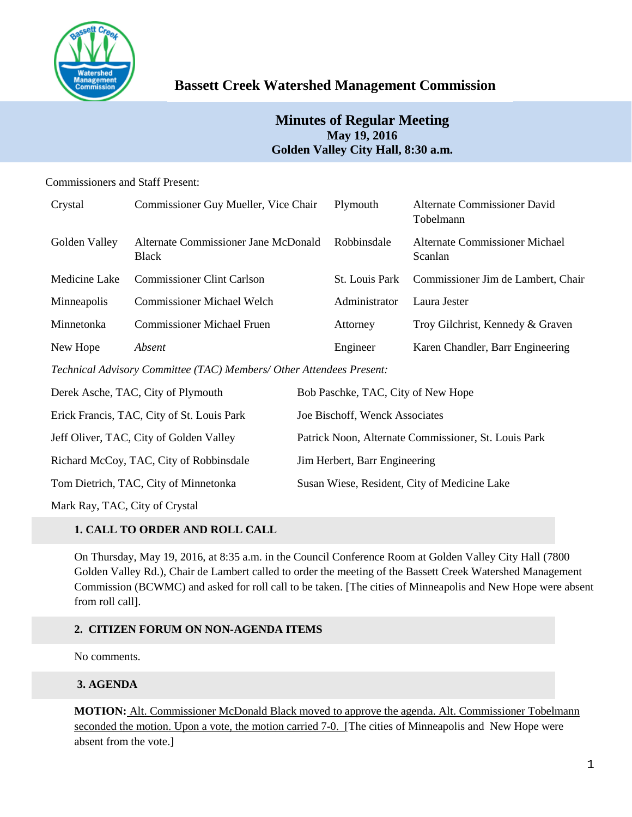

# **Bassett Creek Watershed Management Commission**

## **Minutes of Regular Meeting May 19, 2016 Golden Valley City Hall, 8:30 a.m.**

#### Commissioners and Staff Present:

| Crystal                                                              | Commissioner Guy Mueller, Vice Chair                 | Plymouth              | Alternate Commissioner David<br>Tobelmann |  |  |
|----------------------------------------------------------------------|------------------------------------------------------|-----------------------|-------------------------------------------|--|--|
| Golden Valley                                                        | Alternate Commissioner Jane McDonald<br><b>Black</b> | Robbinsdale           | Alternate Commissioner Michael<br>Scanlan |  |  |
| Medicine Lake                                                        | <b>Commissioner Clint Carlson</b>                    | <b>St.</b> Louis Park | Commissioner Jim de Lambert, Chair        |  |  |
| Minneapolis                                                          | <b>Commissioner Michael Welch</b>                    | Administrator         | Laura Jester                              |  |  |
| Minnetonka                                                           | <b>Commissioner Michael Fruen</b>                    | Attorney              | Troy Gilchrist, Kennedy & Graven          |  |  |
| New Hope                                                             | Absent                                               | Engineer              | Karen Chandler, Barr Engineering          |  |  |
| Technical Advisory Committee (TAC) Members/ Other Attendees Present: |                                                      |                       |                                           |  |  |

| Derek Asche, TAC, City of Plymouth         | Bob Paschke, TAC, City of New Hope                   |
|--------------------------------------------|------------------------------------------------------|
| Erick Francis, TAC, City of St. Louis Park | Joe Bischoff, Wenck Associates                       |
| Jeff Oliver, TAC, City of Golden Valley    | Patrick Noon, Alternate Commissioner, St. Louis Park |
| Richard McCoy, TAC, City of Robbinsdale    | Jim Herbert, Barr Engineering                        |
| Tom Dietrich, TAC, City of Minnetonka      | Susan Wiese, Resident, City of Medicine Lake         |
|                                            |                                                      |

Mark Ray, TAC, City of Crystal

## **1. CALL TO ORDER AND ROLL CALL**

On Thursday, May 19, 2016, at 8:35 a.m. in the Council Conference Room at Golden Valley City Hall (7800 Golden Valley Rd.), Chair de Lambert called to order the meeting of the Bassett Creek Watershed Management Commission (BCWMC) and asked for roll call to be taken. [The cities of Minneapolis and New Hope were absent from roll call].

## **2. CITIZEN FORUM ON NON-AGENDA ITEMS**

No comments.

## **3. AGENDA**

**MOTION:** Alt. Commissioner McDonald Black moved to approve the agenda. Alt. Commissioner Tobelmann seconded the motion. Upon a vote, the motion carried 7-0. [The cities of Minneapolis and New Hope were absent from the vote.]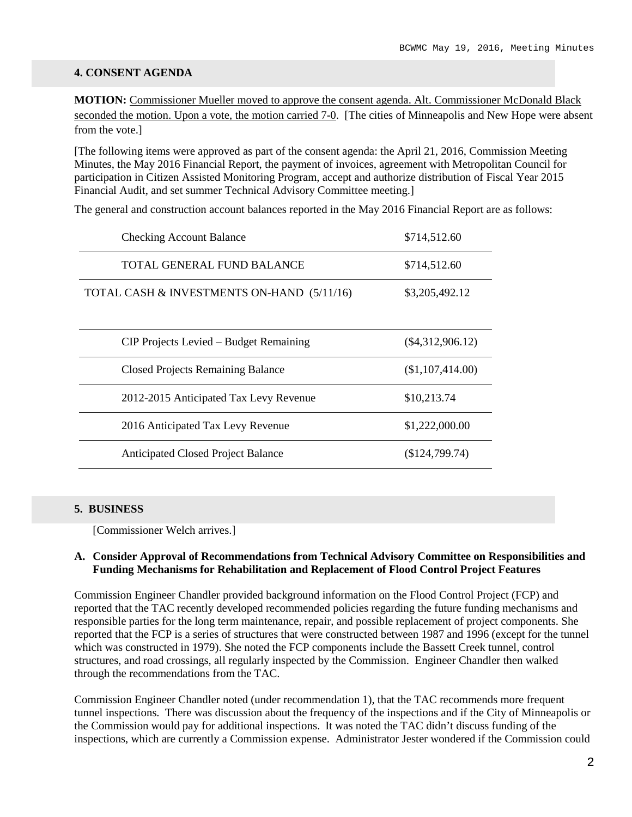#### **4. CONSENT AGENDA**

**MOTION:** Commissioner Mueller moved to approve the consent agenda. Alt. Commissioner McDonald Black seconded the motion. Upon a vote, the motion carried 7-0. [The cities of Minneapolis and New Hope were absent from the vote.]

[The following items were approved as part of the consent agenda: the April 21, 2016, Commission Meeting Minutes, the May 2016 Financial Report, the payment of invoices, agreement with Metropolitan Council for participation in Citizen Assisted Monitoring Program, accept and authorize distribution of Fiscal Year 2015 Financial Audit, and set summer Technical Advisory Committee meeting.]

The general and construction account balances reported in the May 2016 Financial Report are as follows:

| <b>Checking Account Balance</b>            | \$714,512.60       |
|--------------------------------------------|--------------------|
| TOTAL GENERAL FUND BALANCE                 | \$714,512.60       |
| TOTAL CASH & INVESTMENTS ON-HAND (5/11/16) | \$3,205,492.12     |
| CIP Projects Levied – Budget Remaining     | $(\$4,312,906.12)$ |
| <b>Closed Projects Remaining Balance</b>   | (\$1,107,414.00)   |
| 2012-2015 Anticipated Tax Levy Revenue     | \$10,213.74        |
| 2016 Anticipated Tax Levy Revenue          | \$1,222,000.00     |
| <b>Anticipated Closed Project Balance</b>  | (\$124,799.74)     |

#### **5. BUSINESS**

[Commissioner Welch arrives.]

#### **A. Consider Approval of Recommendations from Technical Advisory Committee on Responsibilities and Funding Mechanisms for Rehabilitation and Replacement of Flood Control Project Features**

Commission Engineer Chandler provided background information on the Flood Control Project (FCP) and reported that the TAC recently developed recommended policies regarding the future funding mechanisms and responsible parties for the long term maintenance, repair, and possible replacement of project components. She reported that the FCP is a series of structures that were constructed between 1987 and 1996 (except for the tunnel which was constructed in 1979). She noted the FCP components include the Bassett Creek tunnel, control structures, and road crossings, all regularly inspected by the Commission. Engineer Chandler then walked through the recommendations from the TAC.

Commission Engineer Chandler noted (under recommendation 1), that the TAC recommends more frequent tunnel inspections. There was discussion about the frequency of the inspections and if the City of Minneapolis or the Commission would pay for additional inspections. It was noted the TAC didn't discuss funding of the inspections, which are currently a Commission expense. Administrator Jester wondered if the Commission could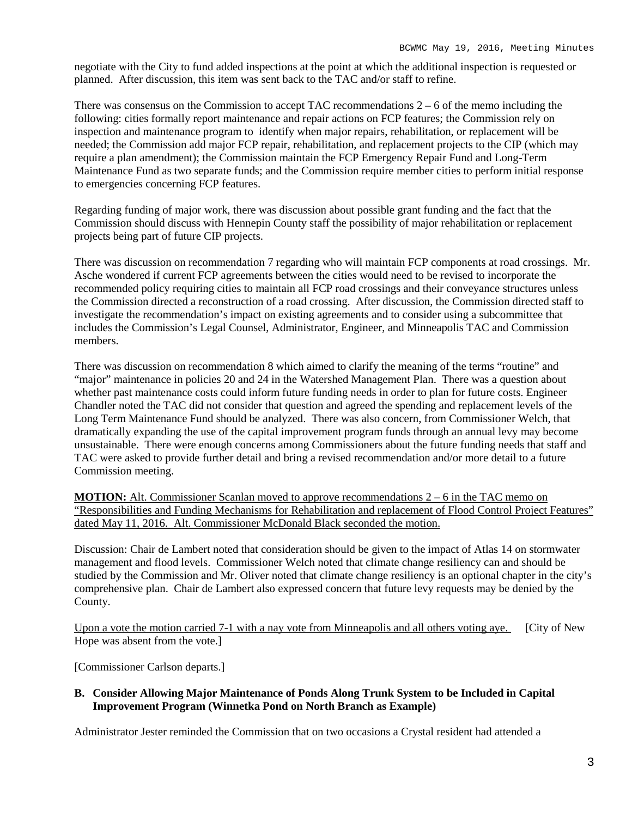negotiate with the City to fund added inspections at the point at which the additional inspection is requested or planned. After discussion, this item was sent back to the TAC and/or staff to refine.

There was consensus on the Commission to accept TAC recommendations 2 – 6 of the memo including the following: cities formally report maintenance and repair actions on FCP features; the Commission rely on inspection and maintenance program to identify when major repairs, rehabilitation, or replacement will be needed; the Commission add major FCP repair, rehabilitation, and replacement projects to the CIP (which may require a plan amendment); the Commission maintain the FCP Emergency Repair Fund and Long-Term Maintenance Fund as two separate funds; and the Commission require member cities to perform initial response to emergencies concerning FCP features.

Regarding funding of major work, there was discussion about possible grant funding and the fact that the Commission should discuss with Hennepin County staff the possibility of major rehabilitation or replacement projects being part of future CIP projects.

There was discussion on recommendation 7 regarding who will maintain FCP components at road crossings. Mr. Asche wondered if current FCP agreements between the cities would need to be revised to incorporate the recommended policy requiring cities to maintain all FCP road crossings and their conveyance structures unless the Commission directed a reconstruction of a road crossing. After discussion, the Commission directed staff to investigate the recommendation's impact on existing agreements and to consider using a subcommittee that includes the Commission's Legal Counsel, Administrator, Engineer, and Minneapolis TAC and Commission members.

There was discussion on recommendation 8 which aimed to clarify the meaning of the terms "routine" and "major" maintenance in policies 20 and 24 in the Watershed Management Plan. There was a question about whether past maintenance costs could inform future funding needs in order to plan for future costs. Engineer Chandler noted the TAC did not consider that question and agreed the spending and replacement levels of the Long Term Maintenance Fund should be analyzed. There was also concern, from Commissioner Welch, that dramatically expanding the use of the capital improvement program funds through an annual levy may become unsustainable. There were enough concerns among Commissioners about the future funding needs that staff and TAC were asked to provide further detail and bring a revised recommendation and/or more detail to a future Commission meeting.

**MOTION:** Alt. Commissioner Scanlan moved to approve recommendations  $2 - 6$  in the TAC memo on "Responsibilities and Funding Mechanisms for Rehabilitation and replacement of Flood Control Project Features" dated May 11, 2016. Alt. Commissioner McDonald Black seconded the motion.

Discussion: Chair de Lambert noted that consideration should be given to the impact of Atlas 14 on stormwater management and flood levels. Commissioner Welch noted that climate change resiliency can and should be studied by the Commission and Mr. Oliver noted that climate change resiliency is an optional chapter in the city's comprehensive plan. Chair de Lambert also expressed concern that future levy requests may be denied by the County.

Upon a vote the motion carried 7-1 with a nay vote from Minneapolis and all others voting aye. [City of New Hope was absent from the vote.]

[Commissioner Carlson departs.]

#### **B. Consider Allowing Major Maintenance of Ponds Along Trunk System to be Included in Capital Improvement Program (Winnetka Pond on North Branch as Example)**

Administrator Jester reminded the Commission that on two occasions a Crystal resident had attended a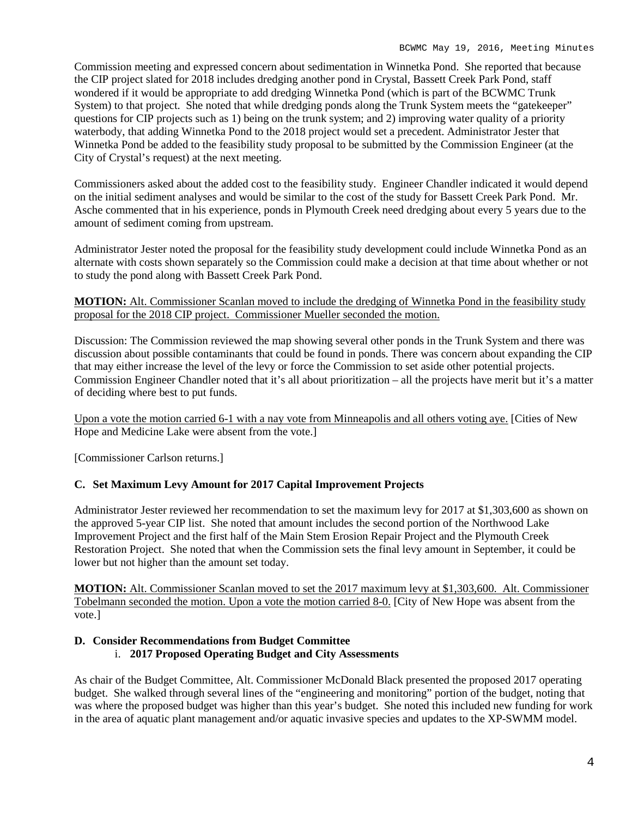Commission meeting and expressed concern about sedimentation in Winnetka Pond. She reported that because the CIP project slated for 2018 includes dredging another pond in Crystal, Bassett Creek Park Pond, staff wondered if it would be appropriate to add dredging Winnetka Pond (which is part of the BCWMC Trunk System) to that project. She noted that while dredging ponds along the Trunk System meets the "gatekeeper" questions for CIP projects such as 1) being on the trunk system; and 2) improving water quality of a priority waterbody, that adding Winnetka Pond to the 2018 project would set a precedent. Administrator Jester that Winnetka Pond be added to the feasibility study proposal to be submitted by the Commission Engineer (at the City of Crystal's request) at the next meeting.

Commissioners asked about the added cost to the feasibility study. Engineer Chandler indicated it would depend on the initial sediment analyses and would be similar to the cost of the study for Bassett Creek Park Pond. Mr. Asche commented that in his experience, ponds in Plymouth Creek need dredging about every 5 years due to the amount of sediment coming from upstream.

Administrator Jester noted the proposal for the feasibility study development could include Winnetka Pond as an alternate with costs shown separately so the Commission could make a decision at that time about whether or not to study the pond along with Bassett Creek Park Pond.

#### **MOTION:** Alt. Commissioner Scanlan moved to include the dredging of Winnetka Pond in the feasibility study proposal for the 2018 CIP project. Commissioner Mueller seconded the motion.

Discussion: The Commission reviewed the map showing several other ponds in the Trunk System and there was discussion about possible contaminants that could be found in ponds. There was concern about expanding the CIP that may either increase the level of the levy or force the Commission to set aside other potential projects. Commission Engineer Chandler noted that it's all about prioritization – all the projects have merit but it's a matter of deciding where best to put funds.

Upon a vote the motion carried 6-1 with a nay vote from Minneapolis and all others voting aye. [Cities of New Hope and Medicine Lake were absent from the vote.]

[Commissioner Carlson returns.]

#### **C. Set Maximum Levy Amount for 2017 Capital Improvement Projects**

Administrator Jester reviewed her recommendation to set the maximum levy for 2017 at \$1,303,600 as shown on the approved 5-year CIP list. She noted that amount includes the second portion of the Northwood Lake Improvement Project and the first half of the Main Stem Erosion Repair Project and the Plymouth Creek Restoration Project. She noted that when the Commission sets the final levy amount in September, it could be lower but not higher than the amount set today.

**MOTION:** Alt. Commissioner Scanlan moved to set the 2017 maximum levy at \$1,303,600. Alt. Commissioner Tobelmann seconded the motion. Upon a vote the motion carried 8-0. [City of New Hope was absent from the vote.]

#### **D. Consider Recommendations from Budget Committee**  i. **2017 Proposed Operating Budget and City Assessments**

As chair of the Budget Committee, Alt. Commissioner McDonald Black presented the proposed 2017 operating budget. She walked through several lines of the "engineering and monitoring" portion of the budget, noting that was where the proposed budget was higher than this year's budget. She noted this included new funding for work in the area of aquatic plant management and/or aquatic invasive species and updates to the XP-SWMM model.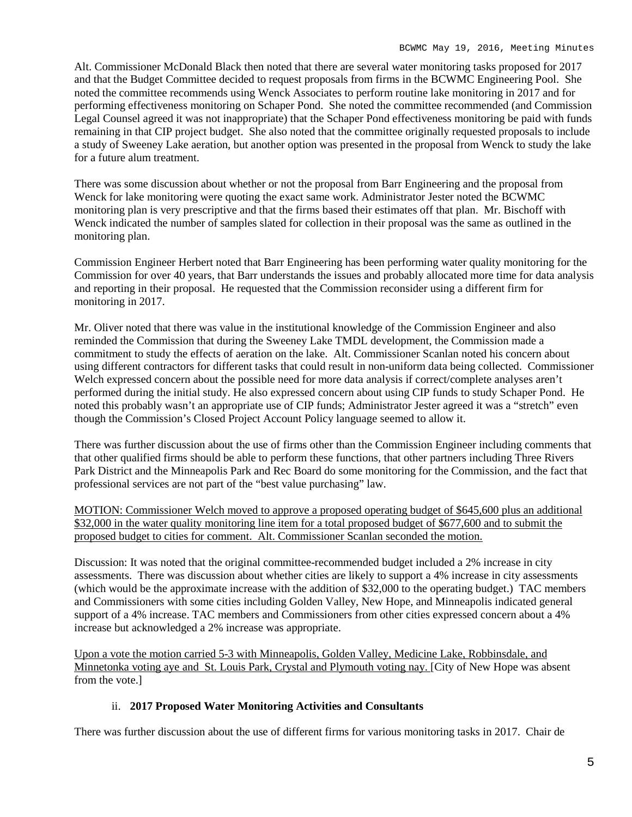Alt. Commissioner McDonald Black then noted that there are several water monitoring tasks proposed for 2017 and that the Budget Committee decided to request proposals from firms in the BCWMC Engineering Pool. She noted the committee recommends using Wenck Associates to perform routine lake monitoring in 2017 and for performing effectiveness monitoring on Schaper Pond. She noted the committee recommended (and Commission Legal Counsel agreed it was not inappropriate) that the Schaper Pond effectiveness monitoring be paid with funds remaining in that CIP project budget. She also noted that the committee originally requested proposals to include a study of Sweeney Lake aeration, but another option was presented in the proposal from Wenck to study the lake for a future alum treatment.

There was some discussion about whether or not the proposal from Barr Engineering and the proposal from Wenck for lake monitoring were quoting the exact same work. Administrator Jester noted the BCWMC monitoring plan is very prescriptive and that the firms based their estimates off that plan. Mr. Bischoff with Wenck indicated the number of samples slated for collection in their proposal was the same as outlined in the monitoring plan.

Commission Engineer Herbert noted that Barr Engineering has been performing water quality monitoring for the Commission for over 40 years, that Barr understands the issues and probably allocated more time for data analysis and reporting in their proposal. He requested that the Commission reconsider using a different firm for monitoring in 2017.

Mr. Oliver noted that there was value in the institutional knowledge of the Commission Engineer and also reminded the Commission that during the Sweeney Lake TMDL development, the Commission made a commitment to study the effects of aeration on the lake. Alt. Commissioner Scanlan noted his concern about using different contractors for different tasks that could result in non-uniform data being collected. Commissioner Welch expressed concern about the possible need for more data analysis if correct/complete analyses aren't performed during the initial study. He also expressed concern about using CIP funds to study Schaper Pond. He noted this probably wasn't an appropriate use of CIP funds; Administrator Jester agreed it was a "stretch" even though the Commission's Closed Project Account Policy language seemed to allow it.

There was further discussion about the use of firms other than the Commission Engineer including comments that that other qualified firms should be able to perform these functions, that other partners including Three Rivers Park District and the Minneapolis Park and Rec Board do some monitoring for the Commission, and the fact that professional services are not part of the "best value purchasing" law.

MOTION: Commissioner Welch moved to approve a proposed operating budget of \$645,600 plus an additional \$32,000 in the water quality monitoring line item for a total proposed budget of \$677,600 and to submit the proposed budget to cities for comment. Alt. Commissioner Scanlan seconded the motion.

Discussion: It was noted that the original committee-recommended budget included a 2% increase in city assessments. There was discussion about whether cities are likely to support a 4% increase in city assessments (which would be the approximate increase with the addition of \$32,000 to the operating budget.) TAC members and Commissioners with some cities including Golden Valley, New Hope, and Minneapolis indicated general support of a 4% increase. TAC members and Commissioners from other cities expressed concern about a 4% increase but acknowledged a 2% increase was appropriate.

Upon a vote the motion carried 5-3 with Minneapolis, Golden Valley, Medicine Lake, Robbinsdale, and Minnetonka voting aye and St. Louis Park, Crystal and Plymouth voting nay. [City of New Hope was absent from the vote.]

#### ii. **2017 Proposed Water Monitoring Activities and Consultants**

There was further discussion about the use of different firms for various monitoring tasks in 2017. Chair de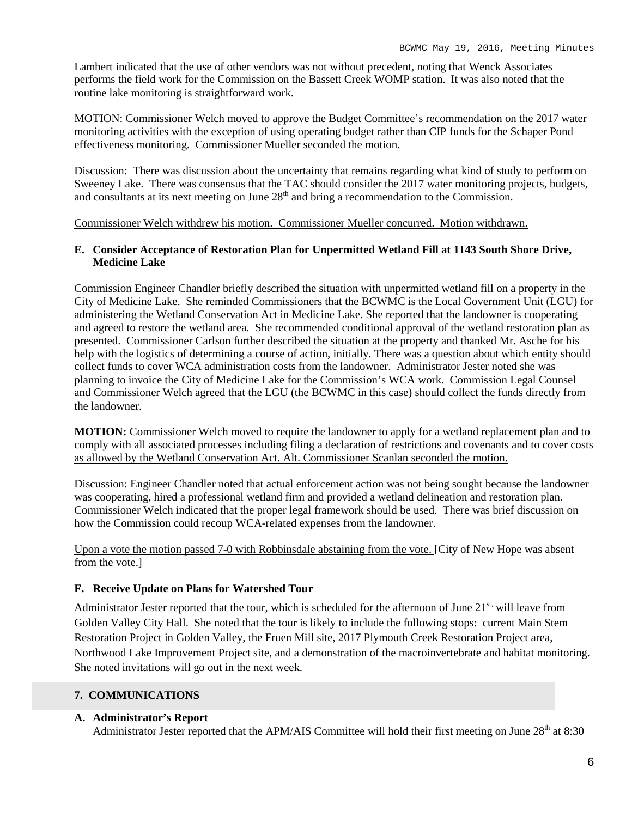Lambert indicated that the use of other vendors was not without precedent, noting that Wenck Associates performs the field work for the Commission on the Bassett Creek WOMP station. It was also noted that the routine lake monitoring is straightforward work.

MOTION: Commissioner Welch moved to approve the Budget Committee's recommendation on the 2017 water monitoring activities with the exception of using operating budget rather than CIP funds for the Schaper Pond effectiveness monitoring. Commissioner Mueller seconded the motion.

Discussion: There was discussion about the uncertainty that remains regarding what kind of study to perform on Sweeney Lake. There was consensus that the TAC should consider the 2017 water monitoring projects, budgets, and consultants at its next meeting on June  $28<sup>th</sup>$  and bring a recommendation to the Commission.

Commissioner Welch withdrew his motion. Commissioner Mueller concurred. Motion withdrawn.

#### **E. Consider Acceptance of Restoration Plan for Unpermitted Wetland Fill at 1143 South Shore Drive, Medicine Lake**

Commission Engineer Chandler briefly described the situation with unpermitted wetland fill on a property in the City of Medicine Lake. She reminded Commissioners that the BCWMC is the Local Government Unit (LGU) for administering the Wetland Conservation Act in Medicine Lake. She reported that the landowner is cooperating and agreed to restore the wetland area. She recommended conditional approval of the wetland restoration plan as presented. Commissioner Carlson further described the situation at the property and thanked Mr. Asche for his help with the logistics of determining a course of action, initially. There was a question about which entity should collect funds to cover WCA administration costs from the landowner. Administrator Jester noted she was planning to invoice the City of Medicine Lake for the Commission's WCA work. Commission Legal Counsel and Commissioner Welch agreed that the LGU (the BCWMC in this case) should collect the funds directly from the landowner.

**MOTION:** Commissioner Welch moved to require the landowner to apply for a wetland replacement plan and to comply with all associated processes including filing a declaration of restrictions and covenants and to cover costs as allowed by the Wetland Conservation Act. Alt. Commissioner Scanlan seconded the motion.

Discussion: Engineer Chandler noted that actual enforcement action was not being sought because the landowner was cooperating, hired a professional wetland firm and provided a wetland delineation and restoration plan. Commissioner Welch indicated that the proper legal framework should be used. There was brief discussion on how the Commission could recoup WCA-related expenses from the landowner.

Upon a vote the motion passed 7-0 with Robbinsdale abstaining from the vote. [City of New Hope was absent from the vote.]

#### **F. Receive Update on Plans for Watershed Tour**

Administrator Jester reported that the tour, which is scheduled for the afternoon of June  $21^{st}$ , will leave from Golden Valley City Hall. She noted that the tour is likely to include the following stops: current Main Stem Restoration Project in Golden Valley, the Fruen Mill site, 2017 Plymouth Creek Restoration Project area, Northwood Lake Improvement Project site, and a demonstration of the macroinvertebrate and habitat monitoring. She noted invitations will go out in the next week.

#### **7. COMMUNICATIONS**

#### **A. Administrator's Report**

Administrator Jester reported that the APM/AIS Committee will hold their first meeting on June  $28<sup>th</sup>$  at 8:30